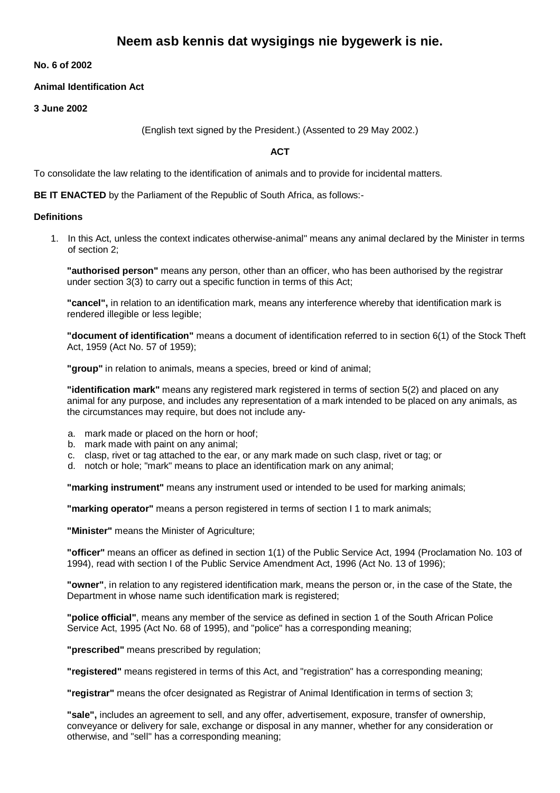# **Neem asb kennis dat wysigings nie bygewerk is nie.**

**No. 6 of 2002**

## **Animal Identification Act**

**3 June 2002**

(English text signed by the President.) (Assented to 29 May 2002.)

**ACT**

To consolidate the law relating to the identification of animals and to provide for incidental matters.

**BE IT ENACTED** by the Parliament of the Republic of South Africa, as follows:-

#### **Definitions**

1. In this Act, unless the context indicates otherwise-animal" means any animal declared by the Minister in terms of section 2;

**"authorised person"** means any person, other than an officer, who has been authorised by the registrar under section 3(3) to carry out a specific function in terms of this Act;

**"cancel",** in relation to an identification mark, means any interference whereby that identification mark is rendered illegible or less legible;

**"document of identification"** means a document of identification referred to in section 6(1) of the Stock Theft Act, 1959 (Act No. 57 of 1959);

**"group"** in relation to animals, means a species, breed or kind of animal;

**"identification mark"** means any registered mark registered in terms of section 5(2) and placed on any animal for any purpose, and includes any representation of a mark intended to be placed on any animals, as the circumstances may require, but does not include any-

- a. mark made or placed on the horn or hoof;
- b. mark made with paint on any animal;
- c. clasp, rivet or tag attached to the ear, or any mark made on such clasp, rivet or tag; or
- d. notch or hole; "mark" means to place an identification mark on any animal;

**"marking instrument"** means any instrument used or intended to be used for marking animals;

**"marking operator"** means a person registered in terms of section I 1 to mark animals;

**"Minister"** means the Minister of Agriculture;

**"officer"** means an officer as defined in section 1(1) of the Public Service Act, 1994 (Proclamation No. 103 of 1994), read with section I of the Public Service Amendment Act, 1996 (Act No. 13 of 1996);

**"owner"**, in relation to any registered identification mark, means the person or, in the case of the State, the Department in whose name such identification mark is registered;

**"police official"**, means any member of the service as defined in section 1 of the South African Police Service Act, 1995 (Act No. 68 of 1995), and "police" has a corresponding meaning;

**"prescribed"** means prescribed by regulation;

**"registered"** means registered in terms of this Act, and "registration" has a corresponding meaning;

**"registrar"** means the ofcer designated as Registrar of Animal Identification in terms of section 3;

**"sale",** includes an agreement to sell, and any offer, advertisement, exposure, transfer of ownership, conveyance or delivery for sale, exchange or disposal in any manner, whether for any consideration or otherwise, and "sell" has a corresponding meaning;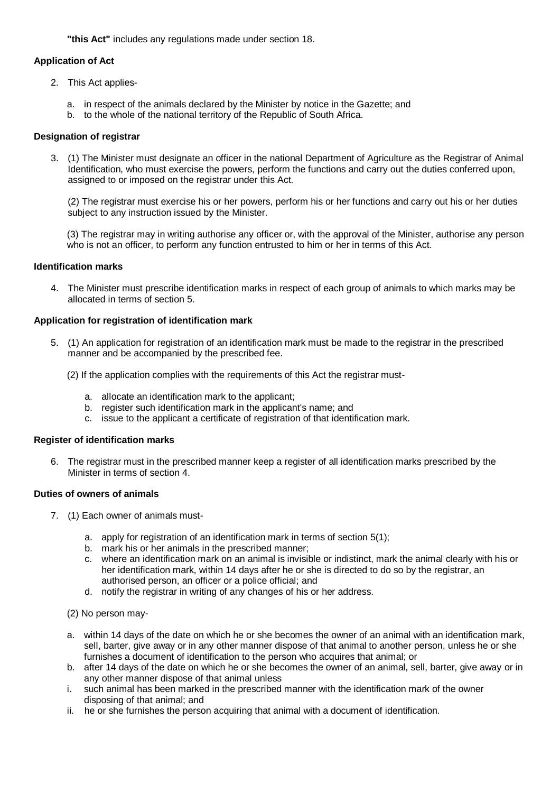**"this Act"** includes any regulations made under section 18.

## **Application of Act**

- 2. This Act applies
	- a. in respect of the animals declared by the Minister by notice in the Gazette; and
	- b. to the whole of the national territory of the Republic of South Africa.

# **Designation of registrar**

3. (1) The Minister must designate an officer in the national Department of Agriculture as the Registrar of Animal Identification, who must exercise the powers, perform the functions and carry out the duties conferred upon, assigned to or imposed on the registrar under this Act.

(2) The registrar must exercise his or her powers, perform his or her functions and carry out his or her duties subject to any instruction issued by the Minister.

(3) The registrar may in writing authorise any officer or, with the approval of the Minister, authorise any person who is not an officer, to perform any function entrusted to him or her in terms of this Act.

## **Identification marks**

4. The Minister must prescribe identification marks in respect of each group of animals to which marks may be allocated in terms of section 5.

## **Application for registration of identification mark**

- 5. (1) An application for registration of an identification mark must be made to the registrar in the prescribed manner and be accompanied by the prescribed fee.
	- (2) If the application complies with the requirements of this Act the registrar must
		- a. allocate an identification mark to the applicant;
		- b. register such identification mark in the applicant's name; and
		- c. issue to the applicant a certificate of registration of that identification mark.

## **Register of identification marks**

6. The registrar must in the prescribed manner keep a register of all identification marks prescribed by the Minister in terms of section 4.

## **Duties of owners of animals**

- 7. (1) Each owner of animals must
	- a. apply for registration of an identification mark in terms of section 5(1);
	- b. mark his or her animals in the prescribed manner;
	- c. where an identification mark on an animal is invisible or indistinct, mark the animal clearly with his or her identification mark, within 14 days after he or she is directed to do so by the registrar, an authorised person, an officer or a police official; and
	- d. notify the registrar in writing of any changes of his or her address.
	- (2) No person may-
	- a. within 14 days of the date on which he or she becomes the owner of an animal with an identification mark, sell, barter, give away or in any other manner dispose of that animal to another person, unless he or she furnishes a document of identification to the person who acquires that animal; or
	- b. after 14 days of the date on which he or she becomes the owner of an animal, sell, barter, give away or in any other manner dispose of that animal unless
	- i. such animal has been marked in the prescribed manner with the identification mark of the owner disposing of that animal; and
	- ii. he or she furnishes the person acquiring that animal with a document of identification.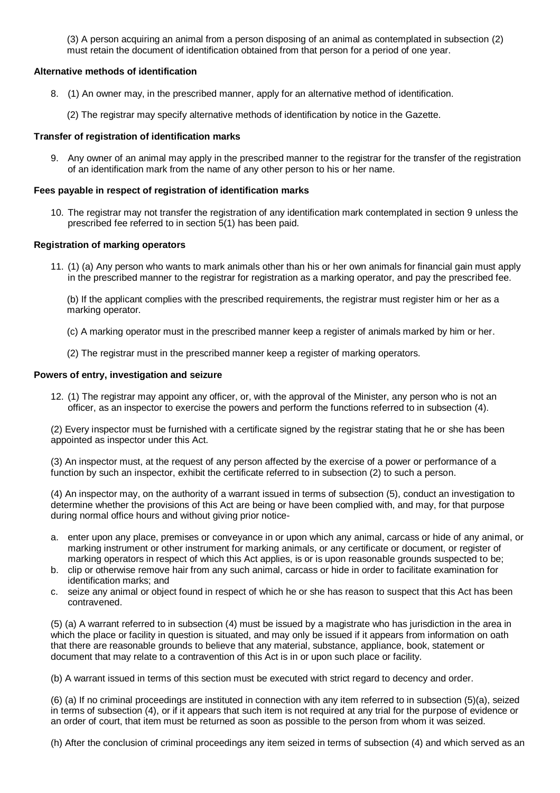(3) A person acquiring an animal from a person disposing of an animal as contemplated in subsection (2) must retain the document of identification obtained from that person for a period of one year.

## **Alternative methods of identification**

- 8. (1) An owner may, in the prescribed manner, apply for an alternative method of identification.
	- (2) The registrar may specify alternative methods of identification by notice in the Gazette.

## **Transfer of registration of identification marks**

9. Any owner of an animal may apply in the prescribed manner to the registrar for the transfer of the registration of an identification mark from the name of any other person to his or her name.

## **Fees payable in respect of registration of identification marks**

10. The registrar may not transfer the registration of any identification mark contemplated in section 9 unless the prescribed fee referred to in section 5(1) has been paid.

## **Registration of marking operators**

11. (1) (a) Any person who wants to mark animals other than his or her own animals for financial gain must apply in the prescribed manner to the registrar for registration as a marking operator, and pay the prescribed fee.

(b) If the applicant complies with the prescribed requirements, the registrar must register him or her as a marking operator.

- (c) A marking operator must in the prescribed manner keep a register of animals marked by him or her.
- (2) The registrar must in the prescribed manner keep a register of marking operators.

## **Powers of entry, investigation and seizure**

12. (1) The registrar may appoint any officer, or, with the approval of the Minister, any person who is not an officer, as an inspector to exercise the powers and perform the functions referred to in subsection (4).

(2) Every inspector must be furnished with a certificate signed by the registrar stating that he or she has been appointed as inspector under this Act.

(3) An inspector must, at the request of any person affected by the exercise of a power or performance of a function by such an inspector, exhibit the certificate referred to in subsection (2) to such a person.

(4) An inspector may, on the authority of a warrant issued in terms of subsection (5), conduct an investigation to determine whether the provisions of this Act are being or have been complied with, and may, for that purpose during normal office hours and without giving prior notice-

- a. enter upon any place, premises or conveyance in or upon which any animal, carcass or hide of any animal, or marking instrument or other instrument for marking animals, or any certificate or document, or register of marking operators in respect of which this Act applies, is or is upon reasonable grounds suspected to be;
- b. clip or otherwise remove hair from any such animal, carcass or hide in order to facilitate examination for identification marks; and
- c. seize any animal or object found in respect of which he or she has reason to suspect that this Act has been contravened.

(5) (a) A warrant referred to in subsection (4) must be issued by a magistrate who has jurisdiction in the area in which the place or facility in question is situated, and may only be issued if it appears from information on oath that there are reasonable grounds to believe that any material, substance, appliance, book, statement or document that may relate to a contravention of this Act is in or upon such place or facility.

(b) A warrant issued in terms of this section must be executed with strict regard to decency and order.

(6) (a) If no criminal proceedings are instituted in connection with any item referred to in subsection (5)(a), seized in terms of subsection (4), or if it appears that such item is not required at any trial for the purpose of evidence or an order of court, that item must be returned as soon as possible to the person from whom it was seized.

(h) After the conclusion of criminal proceedings any item seized in terms of subsection (4) and which served as an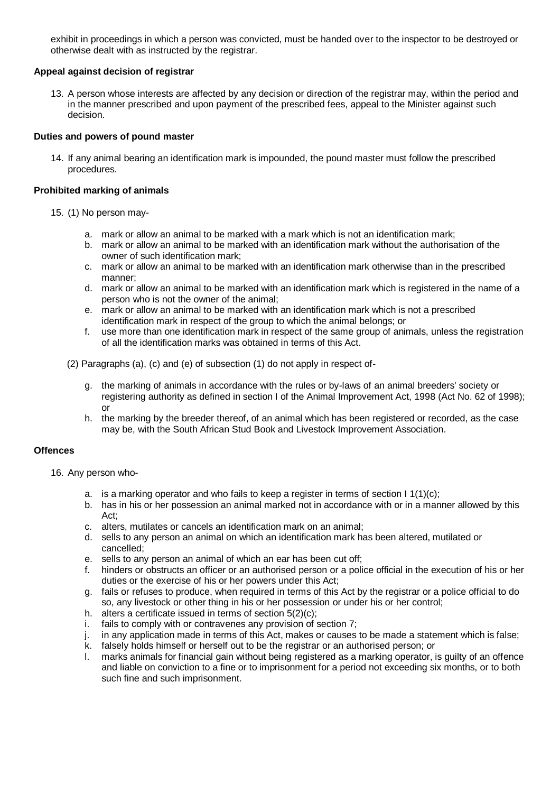exhibit in proceedings in which a person was convicted, must be handed over to the inspector to be destroyed or otherwise dealt with as instructed by the registrar.

## **Appeal against decision of registrar**

13. A person whose interests are affected by any decision or direction of the registrar may, within the period and in the manner prescribed and upon payment of the prescribed fees, appeal to the Minister against such decision.

## **Duties and powers of pound master**

14. If any animal bearing an identification mark is impounded, the pound master must follow the prescribed procedures.

## **Prohibited marking of animals**

- 15. (1) No person may
	- a. mark or allow an animal to be marked with a mark which is not an identification mark;
	- b. mark or allow an animal to be marked with an identification mark without the authorisation of the owner of such identification mark;
	- c. mark or allow an animal to be marked with an identification mark otherwise than in the prescribed manner;
	- d. mark or allow an animal to be marked with an identification mark which is registered in the name of a person who is not the owner of the animal;
	- e. mark or allow an animal to be marked with an identification mark which is not a prescribed identification mark in respect of the group to which the animal belongs; or
	- f. use more than one identification mark in respect of the same group of animals, unless the registration of all the identification marks was obtained in terms of this Act.
	- (2) Paragraphs (a), (c) and (e) of subsection (1) do not apply in respect of
		- g. the marking of animals in accordance with the rules or by-laws of an animal breeders' society or registering authority as defined in section I of the Animal Improvement Act, 1998 (Act No. 62 of 1998); or
		- h. the marking by the breeder thereof, of an animal which has been registered or recorded, as the case may be, with the South African Stud Book and Livestock Improvement Association.

# **Offences**

- 16. Any person who
	- a. is a marking operator and who fails to keep a register in terms of section  $1 \, 1(1)(c)$ ;
	- b. has in his or her possession an animal marked not in accordance with or in a manner allowed by this Act;
	- c. alters, mutilates or cancels an identification mark on an animal;
	- d. sells to any person an animal on which an identification mark has been altered, mutilated or cancelled;
	- e. sells to any person an animal of which an ear has been cut off;<br>f. hinders or obstructs an officer or an authorised person or a noli
	- hinders or obstructs an officer or an authorised person or a police official in the execution of his or her duties or the exercise of his or her powers under this Act;
	- g. fails or refuses to produce, when required in terms of this Act by the registrar or a police official to do so, any livestock or other thing in his or her possession or under his or her control;
	- h. alters a certificate issued in terms of section  $5(2)(c)$ ;
	- i. fails to comply with or contravenes any provision of section 7;
	- j. in any application made in terms of this Act, makes or causes to be made a statement which is false;
	- k. falsely holds himself or herself out to be the registrar or an authorised person; or
	- l. marks animals for financial gain without being registered as a marking operator, is guilty of an offence and liable on conviction to a fine or to imprisonment for a period not exceeding six months, or to both such fine and such imprisonment.